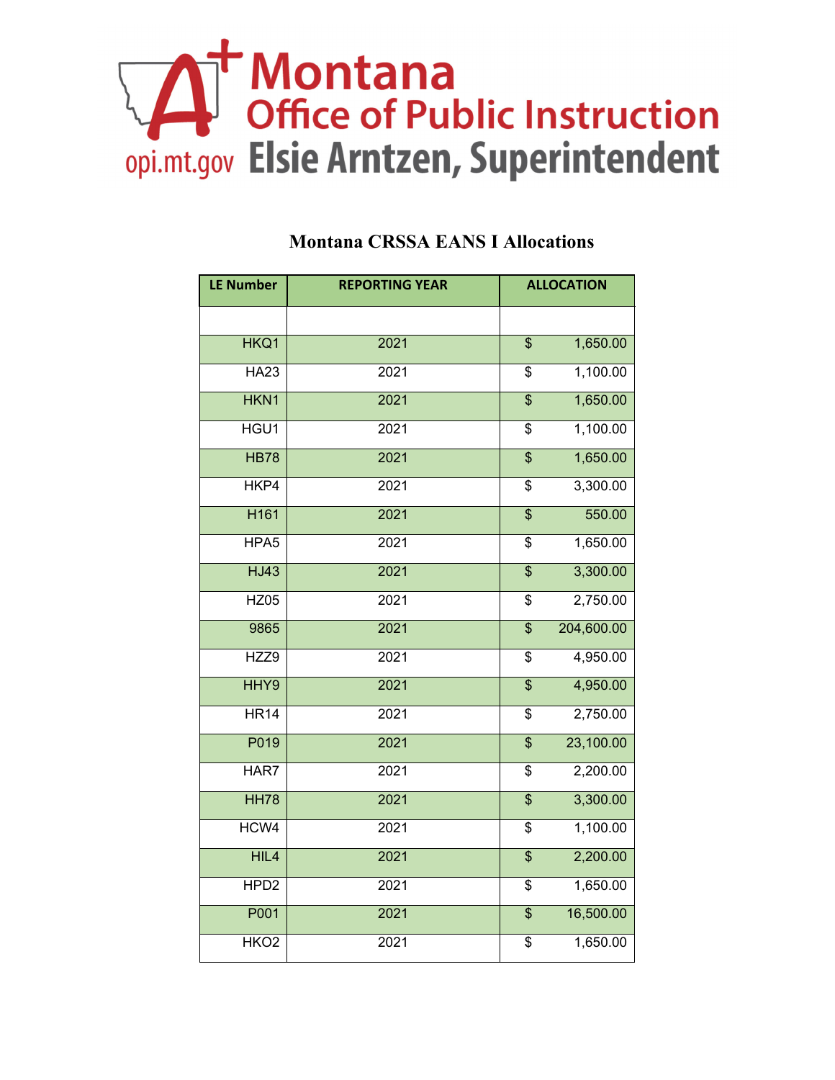## Montana<br>Office of Public Instruction<br>opi.mt.gov Elsie Arntzen, Superintendent

| <b>LE Number</b> | <b>REPORTING YEAR</b> |                          | <b>ALLOCATION</b> |
|------------------|-----------------------|--------------------------|-------------------|
|                  |                       |                          |                   |
| HKQ1             | 2021                  | $\overline{\mathcal{S}}$ | 1,650.00          |
| <b>HA23</b>      | 2021                  | \$                       | 1,100.00          |
| HKN1             | 2021                  | \$                       | 1,650.00          |
| HGU1             | 2021                  | \$                       | 1,100.00          |
| <b>HB78</b>      | 2021                  | $\overline{\mathbf{S}}$  | 1,650.00          |
| HKP4             | 2021                  | \$                       | 3,300.00          |
| H <sub>161</sub> | 2021                  | $\overline{\mathbf{S}}$  | 550.00            |
| HPA <sub>5</sub> | 2021                  | \$                       | 1,650.00          |
| <b>HJ43</b>      | 2021                  | $\overline{\$}$          | 3,300.00          |
| <b>HZ05</b>      | 2021                  | \$                       | 2,750.00          |
| 9865             | 2021                  | $\overline{\mathbf{S}}$  | 204,600.00        |
| HZZ9             | 2021                  | \$                       | 4,950.00          |
| HHY9             | 2021                  | $\overline{\mathcal{S}}$ | 4,950.00          |
| HR14             | 2021                  | \$                       | 2,750.00          |
| P019             | 2021                  | \$                       | 23,100.00         |
| HAR7             | 2021                  | \$                       | 2,200.00          |
| <b>HH78</b>      | 2021                  | $\overline{\$}$          | 3,300.00          |
| HCW4             | 2021                  | \$                       | 1,100.00          |
| HIL4             | 2021                  | $\overline{\$}$          | 2,200.00          |
| HPD <sub>2</sub> | 2021                  | $\overline{\$}$          | 1,650.00          |
| P001             | 2021                  | $\overline{\mathcal{S}}$ | 16,500.00         |
| HKO <sub>2</sub> | 2021                  | \$                       | 1,650.00          |

## **Montana CRSSA EANS I Allocations**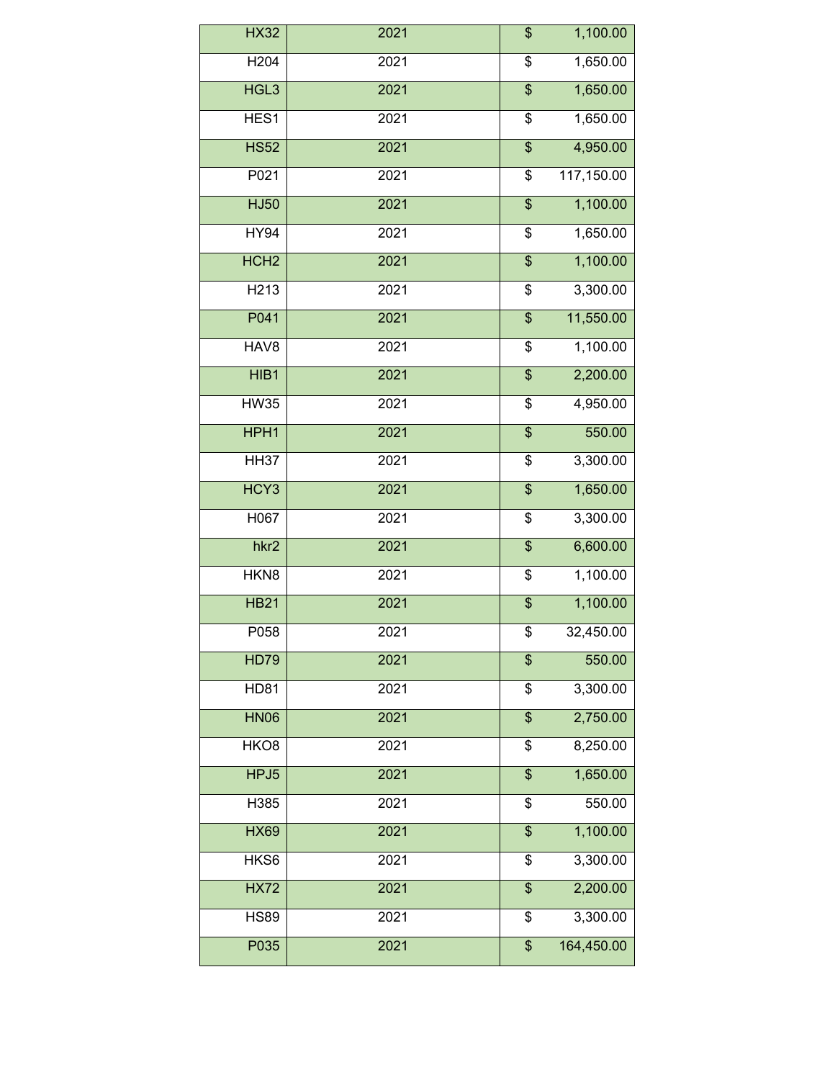| H <sub>204</sub><br>2021<br>\$<br>HGL3<br>2021<br>$\overline{\mathbf{S}}$<br>HES1<br>2021<br>\$<br><b>HS52</b><br>2021<br>$\overline{\$}$ | 1,650.00<br>1,650.00 |
|-------------------------------------------------------------------------------------------------------------------------------------------|----------------------|
|                                                                                                                                           |                      |
|                                                                                                                                           |                      |
|                                                                                                                                           | 1,650.00             |
|                                                                                                                                           | 4,950.00             |
| P021<br>2021<br>\$                                                                                                                        | 117,150.00           |
| <b>HJ50</b><br>2021<br>\$                                                                                                                 | 1,100.00             |
| <b>HY94</b><br>\$<br>2021                                                                                                                 | 1,650.00             |
| HCH <sub>2</sub><br>2021<br>$\overline{\mathcal{S}}$                                                                                      | 1,100.00             |
| H <sub>2</sub> 13<br>2021<br>\$                                                                                                           | 3,300.00             |
| P041<br>2021<br>\$                                                                                                                        | 11,550.00            |
| HAV8<br>2021<br>\$                                                                                                                        | 1,100.00             |
| 2021<br>HIB1<br>\$                                                                                                                        | 2,200.00             |
| <b>HW35</b><br>2021<br>\$                                                                                                                 | 4,950.00             |
| HPH1<br>2021<br>\$                                                                                                                        | 550.00               |
| <b>HH37</b><br>2021<br>\$                                                                                                                 | 3,300.00             |
| HCY3<br>2021<br>\$                                                                                                                        | 1,650.00             |
| H067<br>2021<br>\$                                                                                                                        | 3,300.00             |
| 2021<br>$\overline{\mathcal{L}}$<br>hkr <sub>2</sub>                                                                                      | 6,600.00             |
| HKN8<br>2021<br>\$                                                                                                                        | 1,100.00             |
| <b>HB21</b><br>2021<br>$\overline{\mathcal{E}}$                                                                                           | 1,100.00             |
| P058<br>2021<br>\$                                                                                                                        | 32,450.00            |
| <b>HD79</b><br>2021<br>\$                                                                                                                 | 550.00               |
| <b>HD81</b><br>\$<br>2021                                                                                                                 | 3,300.00             |
| <b>HN06</b><br>2021<br>\$                                                                                                                 | 2,750.00             |
| HKO <sub>8</sub><br>2021<br>\$                                                                                                            | 8,250.00             |
| HPJ5<br>2021<br>\$                                                                                                                        | 1,650.00             |
| 2021<br>\$<br>H385                                                                                                                        | 550.00               |
| <b>HX69</b><br>2021<br>\$                                                                                                                 | 1,100.00             |
| \$<br>HKS6<br>2021                                                                                                                        | 3,300.00             |
| <b>HX72</b><br>\$<br>2021                                                                                                                 | 2,200.00             |
|                                                                                                                                           |                      |
| 2021<br>\$<br><b>HS89</b>                                                                                                                 | 3,300.00             |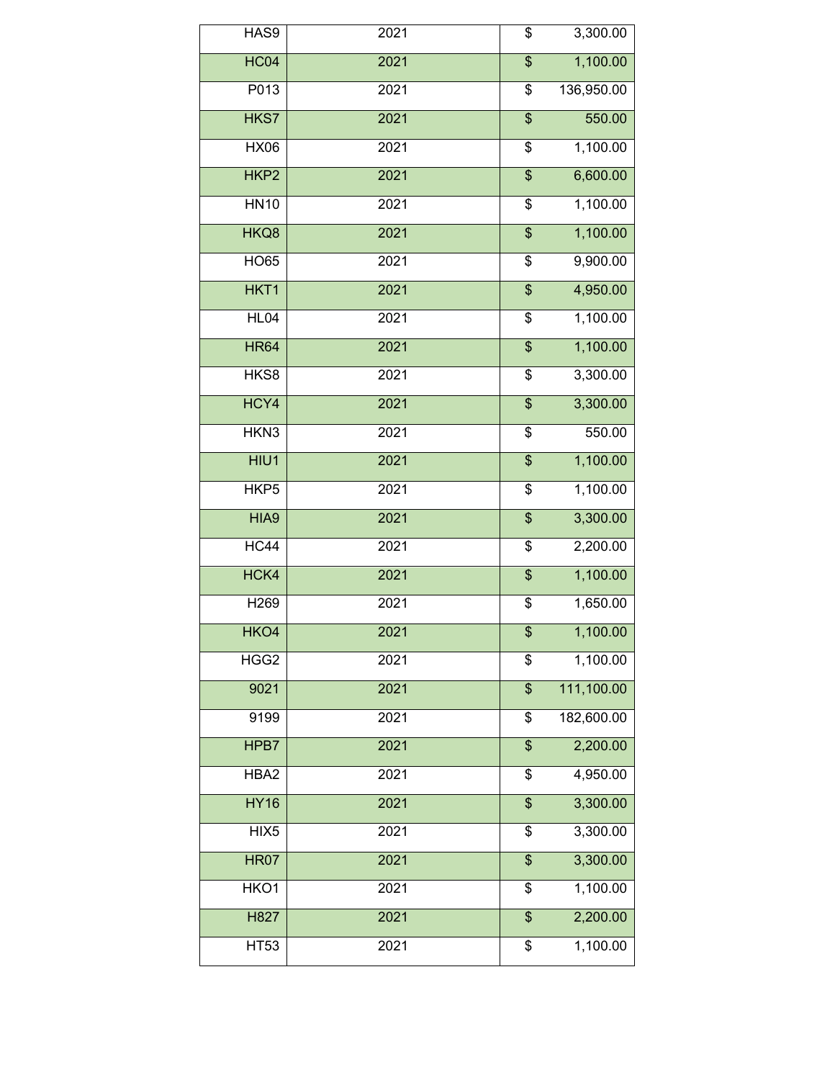| HAS9             | 2021 | \$                                   | 3,300.00   |
|------------------|------|--------------------------------------|------------|
| <b>HC04</b>      | 2021 | \$                                   | 1,100.00   |
| P013             | 2021 | \$                                   | 136,950.00 |
| HKS7             | 2021 | \$                                   | 550.00     |
| <b>HX06</b>      | 2021 | \$                                   | 1,100.00   |
| HKP2             | 2021 | \$                                   | 6,600.00   |
| <b>HN10</b>      | 2021 | \$                                   | 1,100.00   |
| HKQ8             | 2021 | \$                                   | 1,100.00   |
| <b>HO65</b>      | 2021 | \$                                   | 9,900.00   |
| HKT1             | 2021 | $\overline{\$}$                      | 4,950.00   |
| HL04             | 2021 | $\overline{\boldsymbol{\mathsf{S}}}$ | 1,100.00   |
| <b>HR64</b>      | 2021 | $\overline{\mathcal{L}}$             | 1,100.00   |
| HKS8             | 2021 | \$                                   | 3,300.00   |
| HCY4             | 2021 | $\overline{\mathcal{L}}$             | 3,300.00   |
| HKN3             | 2021 | \$                                   | 550.00     |
| HIU1             | 2021 | \$                                   | 1,100.00   |
| HKP <sub>5</sub> | 2021 | \$                                   | 1,100.00   |
| HIA9             | 2021 | $\overline{\mathcal{S}}$             | 3,300.00   |
| HC44             | 2021 | \$                                   | 2,200.00   |
| HCK4             | 2021 | \$                                   | 1,100.00   |
| H269             | 2021 | \$                                   | 1,650.00   |
| HKO4             | 2021 | $\overline{\mathcal{S}}$             | 1,100.00   |
| HGG <sub>2</sub> | 2021 | \$                                   | 1,100.00   |
| 9021             | 2021 | \$                                   | 111,100.00 |
| 9199             | 2021 | \$                                   | 182,600.00 |
| HPB7             | 2021 | $\overline{\mathcal{S}}$             | 2,200.00   |
| HBA2             | 2021 | \$                                   | 4,950.00   |
| <b>HY16</b>      | 2021 | $\overline{\$}$                      | 3,300.00   |
| HIX <sub>5</sub> | 2021 | \$                                   | 3,300.00   |
| <b>HR07</b>      | 2021 | $\overline{\mathcal{S}}$             | 3,300.00   |
| HKO1             | 2021 | \$                                   | 1,100.00   |
| H827             | 2021 | $\overline{\mathcal{L}}$             | 2,200.00   |
| <b>HT53</b>      | 2021 | \$                                   | 1,100.00   |
|                  |      |                                      |            |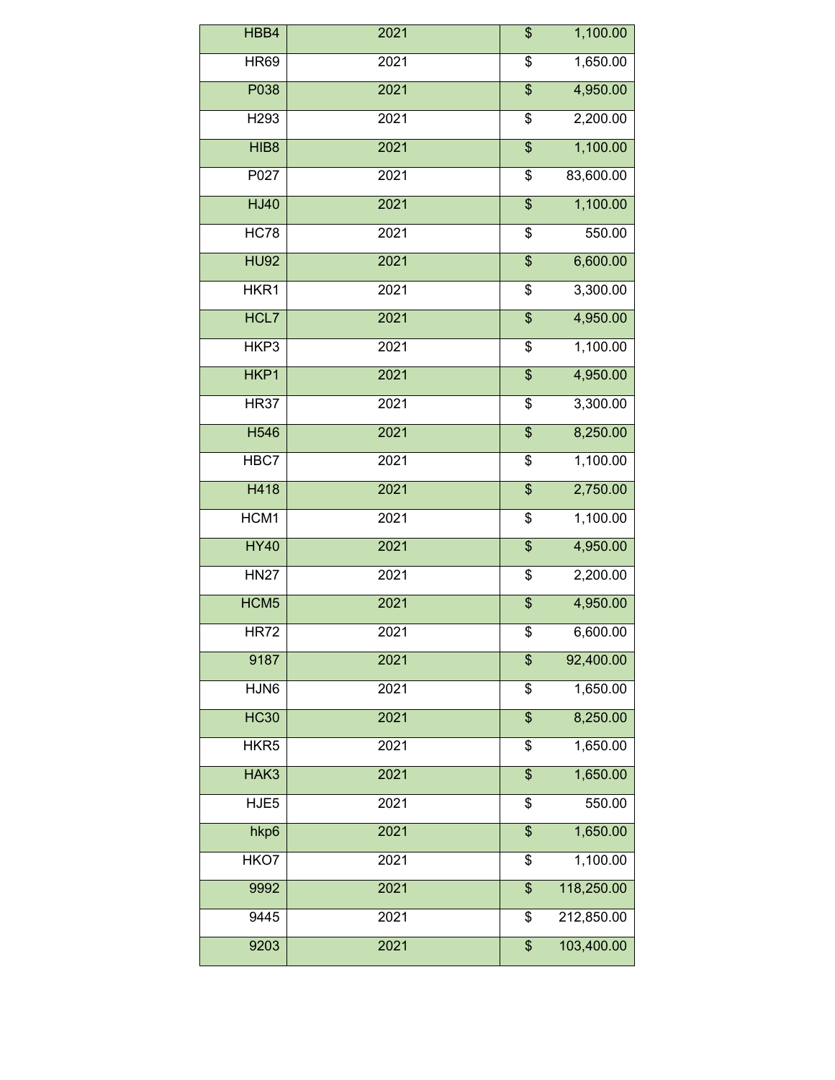| HBB4             | 2021             | \$                       | 1,100.00   |
|------------------|------------------|--------------------------|------------|
| <b>HR69</b>      | 2021             | \$                       | 1,650.00   |
| P038             | 2021             | \$                       | 4,950.00   |
| H <sub>293</sub> | 2021             | \$                       | 2,200.00   |
| HIB8             | 2021             | $\overline{\mathcal{S}}$ | 1,100.00   |
| P027             | 2021             | \$                       | 83,600.00  |
| <b>HJ40</b>      | 2021             | $\overline{\$}$          | 1,100.00   |
| HC78             | 2021             | \$                       | 550.00     |
| <b>HU92</b>      | 2021             | $\overline{\mathcal{S}}$ | 6,600.00   |
| HKR1             | $\frac{1}{2021}$ | \$                       | 3,300.00   |
| HCL7             | 2021             | \$                       | 4,950.00   |
| HKP3             | 2021             | \$                       | 1,100.00   |
| HKP1             | 2021             | \$                       | 4,950.00   |
| <b>HR37</b>      | 2021             | \$                       | 3,300.00   |
| H546             | 2021             | \$                       | 8,250.00   |
| HBC7             | 2021             | \$                       | 1,100.00   |
| H418             | 2021             | \$                       | 2,750.00   |
| HCM1             | 2021             | \$                       | 1,100.00   |
| <b>HY40</b>      | 2021             | \$                       | 4,950.00   |
| <b>HN27</b>      | 2021             | \$                       | 2,200.00   |
| HCM <sub>5</sub> | 2021             | \$                       | 4,950.00   |
| <b>HR72</b>      | 2021             | \$                       | 6,600.00   |
| 9187             | 2021             | \$                       | 92,400.00  |
| HJN6             | 2021             | \$                       | 1,650.00   |
| <b>HC30</b>      | 2021             | $\overline{\mathcal{S}}$ | 8,250.00   |
| HKR <sub>5</sub> | 2021             | \$                       | 1,650.00   |
| HAK3             | 2021             | \$                       | 1,650.00   |
| HJE <sub>5</sub> | 2021             | \$                       | 550.00     |
| hkp6             | 2021             | \$                       | 1,650.00   |
| HKO7             | 2021             | \$                       | 1,100.00   |
| 9992             | 2021             | \$                       | 118,250.00 |
| 9445             | 2021             | \$                       | 212,850.00 |
| 9203             | 2021             | \$                       | 103,400.00 |
|                  |                  |                          |            |